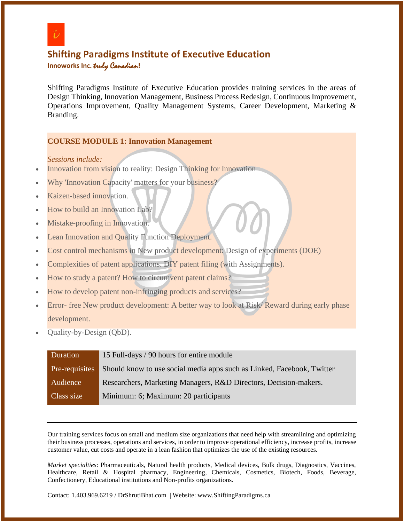

# **Shifting Paradigms Institute of Executive Education**

**Innoworks Inc.** truly Canadian**!**

Shifting Paradigms Institute of Executive Education provides training services in the areas of Design Thinking, Innovation Management, Business Process Redesign, Continuous Improvement, Operations Improvement, Quality Management Systems, Career Development, Marketing & Branding.

# **COURSE MODULE 1: Innovation Management**

*Sessions include:*

- Innovation from vision to reality: Design Thinking for Innovation
- Why 'Innovation Capacity' matters for your business?
- Kaizen-based innovation.
- How to build an Innovation Lab?
- Mistake-proofing in Innovation.
- Lean Innovation and Quality Function Deployment.
- Cost control mechanisms in New product development: Design of experiments (DOE)
- Complexities of patent applications. DIY patent filing (with Assignments).
- How to study a patent? How to circumvent patent claims?
- How to develop patent non-infringing products and services?
- Error- free New product development: A better way to look at Risk/Reward during early phase development.
- Quality-by-Design (QbD).

| Duration       | 15 Full-days / 90 hours for entire module                              |
|----------------|------------------------------------------------------------------------|
| Pre-requisites | Should know to use social media apps such as Linked, Facebook, Twitter |
| Audience       | Researchers, Marketing Managers, R&D Directors, Decision-makers.       |
| Class size     | Minimum: 6; Maximum: 20 participants                                   |

Our training services focus on small and medium size organizations that need help with streamlining and optimizing their business processes, operations and services, in order to improve operational efficiency, increase profits, increase customer value, cut costs and operate in a lean fashion that optimizes the use of the existing resources.

*Market specialties*: Pharmaceuticals, Natural health products, Medical devices, Bulk drugs, Diagnostics, Vaccines, Healthcare, Retail & Hospital pharmacy, Engineering, Chemicals, Cosmetics, Biotech, Foods, Beverage, Confectionery, Educational institutions and Non-profits organizations.

Contact: 1.403.969.6219 / DrShrutiBhat.com | Website: www.ShiftingParadigms.ca